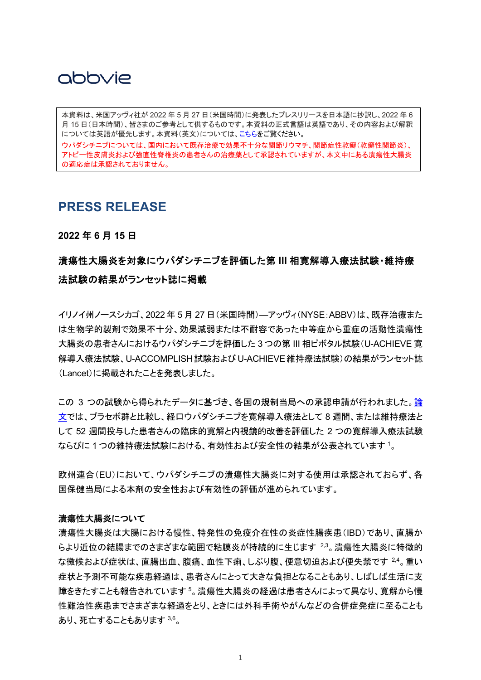## abbyje

 月 15 日(日本時間)、皆さまのご参考として供するものです。本資料の正式言語は英語であり、その内容および解釈 本資料は、米国アッヴィ社が 2022 年 5 月 27 日(米国時間)に発表したプレスリリースを日本語に抄訳し、2022 年 6 については英語が優先します。本資料(英文)については[、こちらを](https://news.abbvie.com/news/press-releases/the-lancet-publishes-results-from-phase-3-induction-and-maintenance-programs-evaluating-upadacitinib-rinvoq-in-ulcerative-colitis.htm?view_id=5764)ご覧ください。

ウパダシチニブについては、国内において既存治療で効果不十分な関節リウマチ、関節症性乾癬(乾癬性関節炎)、 アトピー性皮膚炎および強直性脊椎炎の患者さんの治療薬として承認されていますが、本文中にある潰瘍性大腸炎 の適応症は承認されておりません。

### **PRESS RELEASE**

**2022** 年 **6** 月 **15** 日

### 潰瘍性大腸炎を対象にウパダシチニブを評価した第 **III** 相寛解導入療法試験・維持療 法試験の結果がランセット誌に掲載

イリノイ州ノースシカゴ、2022 年 5 月 27 日(米国時間)—アッヴィ(NYSE:ABBV)は、既存治療また は生物学的製剤で効果不十分、効果減弱または不耐容であった中等症から重症の活動性潰瘍性 大腸炎の患者さんにおけるウパダシチニブを評価した 3 つの第 III 相ピボタル試験(U-ACHIEVE 寛 解導入療法試験、U-ACCOMPLISH試験およびU-ACHIEVE維持療法試験)の結果がランセット誌 (Lancet)に掲載されたことを発表しました。

この 3 つの試験から得られたデータに基づき、各国の規制当局への承認申請が行われました[。論](https://c212.net/c/link/?t=0&l=en&o=3549661-1&h=3077271394&u=https%3A%2F%2Fwww.thelancet.com%2Fjournals%2Flancet%2Farticle%2FPIIS0140-6736(22)00581-5%2Ffulltext&a=The+publication+reports) [文で](https://c212.net/c/link/?t=0&l=en&o=3549661-1&h=3077271394&u=https%3A%2F%2Fwww.thelancet.com%2Fjournals%2Flancet%2Farticle%2FPIIS0140-6736(22)00581-5%2Ffulltext&a=The+publication+reports)は、プラセボ群と比較し、経口ウパダシチニブを寛解導入療法として 8 週間、または維持療法と して 52 週間投与した患者さんの臨床的寛解と内視鏡的改善を評価した 2 つの寛解導入療法試験 ならびに1つの維持療法試験における、有効性および安全性の結果が公表されています<sup>1</sup>。

欧州連合(EU)において、ウパダシチニブの潰瘍性大腸炎に対する使用は承認されておらず、各 国保健当局による本剤の安全性および有効性の評価が進められています。

#### 潰瘍性大腸炎について

潰瘍性大腸炎は大腸における慢性、特発性の免疫介在性の炎症性腸疾患(IBD)であり、直腸か らより近位の結腸までのさまざまな範囲で粘膜炎が持続的に生じます 2,3。潰瘍性大腸炎に特徴的 な徴候および症状は、直腸出血、腹痛、血性下痢、しぶり腹、便意切迫および便失禁です 2.4。 重い 症状と予測不可能な疾患経過は、患者さんにとって大きな負担となることもあり、しばしば生活に支 障をきたすことも報告されています5。潰瘍性大腸炎の経過は患者さんによって異なり、寛解から慢 性難治性疾患までさまざまな経過をとり、ときには外科手術やがんなどの合併症発症に至ることも あり、死亡することもあります 3,6。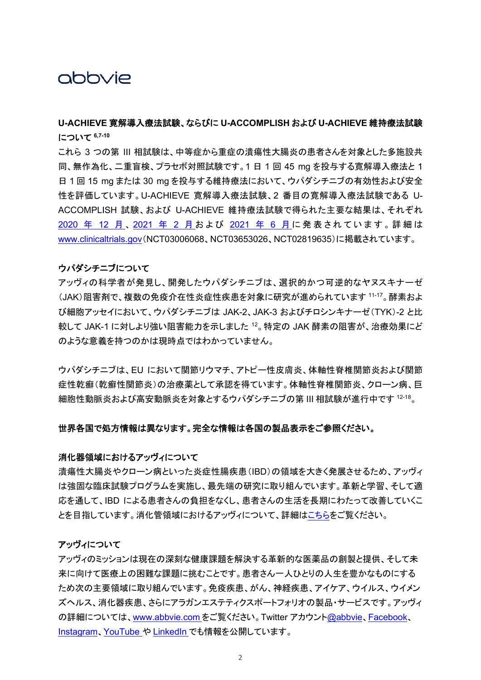## abbyje

### **U-ACHIEVE** 寛解導入療法試験、ならびに **U-ACCOMPLISH** および **U-ACHIEVE** 維持療法試験 について **6,7-10**

これら 3 つの第 III 相試験は、中等症から重症の潰瘍性大腸炎の患者さんを対象とした多施設共 同、無作為化、二重盲検、プラセボ対照試験です。1 日 1 回 45 mg を投与する寛解導入療法と 1 日 1 回 15 mg または 30 mg を投与する維持療法において、ウパダシチニブの有効性および安全 性を評価しています。U-ACHIEVE 寛解導入療法試験、2 番目の寛解導入療法試験である U-ACCOMPLISH 試験、および U-ACHIEVE 維持療法試験で得られた主要な結果は、それぞれ [2020](https://www.abbvie.co.jp/content/dam/abbvie-dotcom/jp/documents/press-release/2020_1224_01.pdf) 年 12 [月](https://www.abbvie.co.jp/content/dam/abbvie-dotcom/jp/documents/press-release/2021_0714.pdf)、[2021](https://www.abbvie.co.jp/content/dam/abbvie-dotcom/jp/documents/press-release/2021_0714.pdf) 年 2 月および 2021 年 6 月に発表されています。詳細は [www.clinicaltrials.gov](https://www.clinicaltrials.gov/)(NCT03006068、NCT03653026、NCT02819635)に掲載されています。

#### ウパダシチニブについて

アッヴィの科学者が発見し、開発したウパダシチニブは、選択的かつ可逆的なヤヌスキナーゼ (JAK)阻害剤で、複数の免疫介在性炎症性疾患を対象に研究が進められています 11-17。酵素およ び細胞アッセイにおいて、ウパダシチニブは JAK-2、JAK-3 およびチロシンキナーゼ(TYK)-2 と比 較して JAK-1 に対しより強い阻害能力を示しました <sup>12</sup>。特定の JAK 酵素の阻害が、治療効果にど のような意義を持つのかは現時点ではわかっていません。

ウパダシチニブは、EU において関節リウマチ、アトピー性皮膚炎、体軸性脊椎関節炎および関節 症性乾癬(乾癬性関節炎)の治療薬として承認を得ています。体軸性脊椎関節炎、クローン病、巨 細胞性動脈炎および高安動脈炎を対象とするウパダシチニブの第 III 相試験が進行中です 12-18。

#### 世界各国で処方情報は異なります。完全な情報は各国の製品表示をご参照ください。

#### 消化器領域におけるアッヴィについて

潰瘍性大腸炎やクローン病といった炎症性腸疾患(IBD)の領域を大きく発展させるため、アッヴィ は強固な臨床試験プログラムを実施し、最先端の研究に取り組んでいます。革新と学習、そして適 応を通して、IBD による患者さんの負担をなくし、患者さんの生活を長期にわたって改善していくこ とを目指しています。消化管領域におけるアッヴィについて、詳細[はこちらを](https://www.abbvie.com/our-science/therapeutic-focus-areas/immunology/immunology-focus-areas/gastroenterology.html.)ご覧ください。

#### アッヴィについて

アッヴィのミッションは現在の深刻な健康課題を解決する革新的な医薬品の創製と提供、そして未 来に向けて医療上の困難な課題に挑むことです。患者さん一人ひとりの人生を豊かなものにする ため次の主要領域に取り組んでいます。免疫疾患、がん、神経疾患、アイケア、ウイルス、ウイメン ズヘルス、消化器疾患、さらにアラガンエステティクスポートフォリオの製品・サービスです。アッヴィ の詳細については、[www.abbvie.com](http://www.abbvie.com/) をご覧ください。Twitter アカウント[@abbvie](https://twitter.com/abbvie)、[Facebook](https://www.facebook.com/AbbVieGlobal)、 [Instagram](https://www.instagram.com/abbvie/)、[YouTube](https://www.youtube.com/user/AbbVie) や [LinkedIn](https://www.linkedin.com/company/abbvie) でも情報を公開しています。